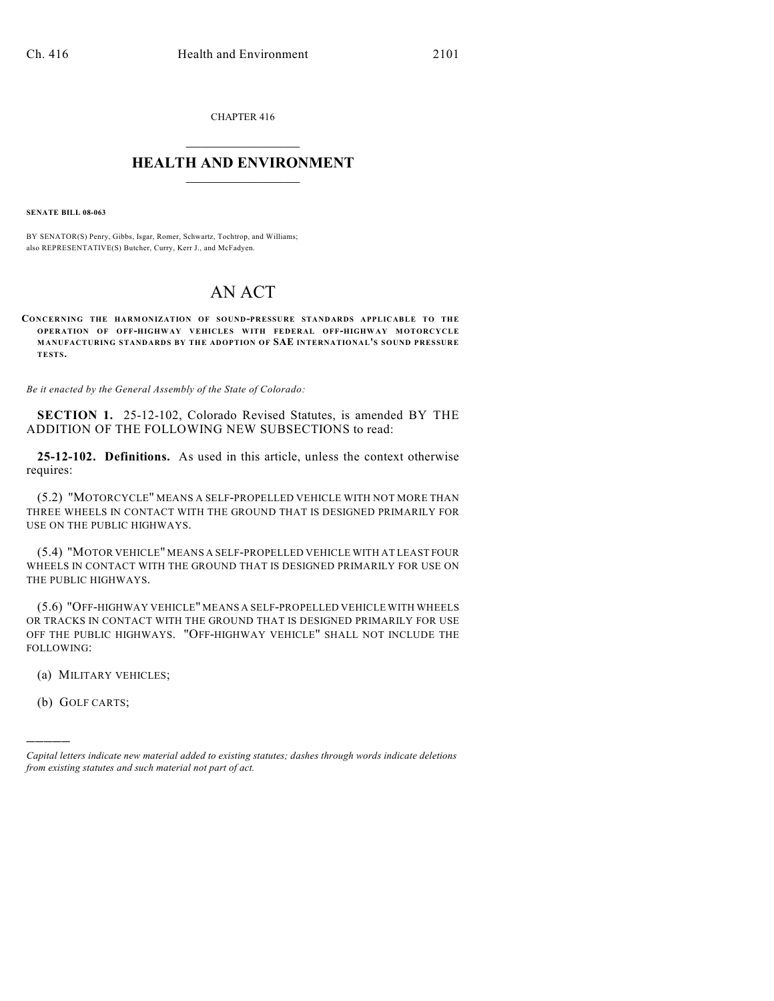CHAPTER 416  $\mathcal{L}_\text{max}$  . The set of the set of the set of the set of the set of the set of the set of the set of the set of the set of the set of the set of the set of the set of the set of the set of the set of the set of the set

## **HEALTH AND ENVIRONMENT**  $\_$

**SENATE BILL 08-063**

BY SENATOR(S) Penry, Gibbs, Isgar, Romer, Schwartz, Tochtrop, and Williams; also REPRESENTATIVE(S) Butcher, Curry, Kerr J., and McFadyen.

## AN ACT

**CONCERNING THE HARMONIZATION OF SOUND-PRESSURE STANDARDS APPLICABLE TO THE OPERATION OF OFF-HIGHWAY VEHICLES WITH FEDERAL OFF-HIGHWAY MOTORCYCLE MANUFACTURING STANDARDS BY THE ADOPTION OF SAE INTERNATIONAL'S SOUND PRESSURE TESTS.**

*Be it enacted by the General Assembly of the State of Colorado:*

**SECTION 1.** 25-12-102, Colorado Revised Statutes, is amended BY THE ADDITION OF THE FOLLOWING NEW SUBSECTIONS to read:

**25-12-102. Definitions.** As used in this article, unless the context otherwise requires:

(5.2) "MOTORCYCLE" MEANS A SELF-PROPELLED VEHICLE WITH NOT MORE THAN THREE WHEELS IN CONTACT WITH THE GROUND THAT IS DESIGNED PRIMARILY FOR USE ON THE PUBLIC HIGHWAYS.

(5.4) "MOTOR VEHICLE" MEANS A SELF-PROPELLED VEHICLE WITH AT LEAST FOUR WHEELS IN CONTACT WITH THE GROUND THAT IS DESIGNED PRIMARILY FOR USE ON THE PUBLIC HIGHWAYS.

(5.6) "OFF-HIGHWAY VEHICLE" MEANS A SELF-PROPELLED VEHICLE WITH WHEELS OR TRACKS IN CONTACT WITH THE GROUND THAT IS DESIGNED PRIMARILY FOR USE OFF THE PUBLIC HIGHWAYS. "OFF-HIGHWAY VEHICLE" SHALL NOT INCLUDE THE FOLLOWING:

(a) MILITARY VEHICLES;

(b) GOLF CARTS;

)))))

*Capital letters indicate new material added to existing statutes; dashes through words indicate deletions from existing statutes and such material not part of act.*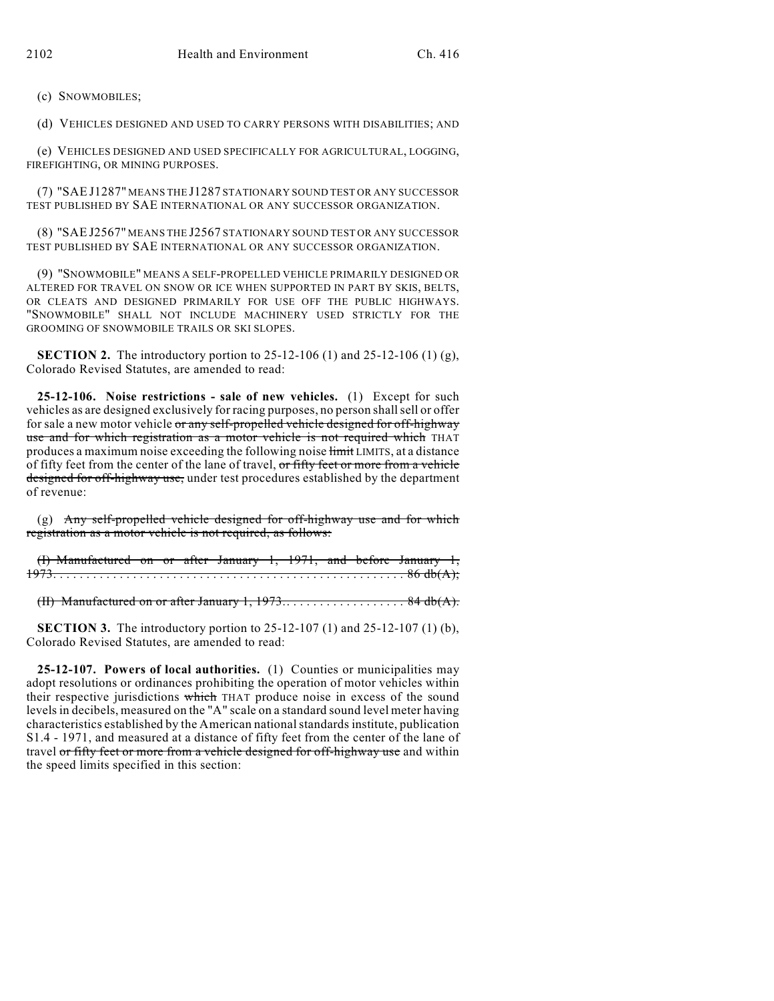(c) SNOWMOBILES;

(d) VEHICLES DESIGNED AND USED TO CARRY PERSONS WITH DISABILITIES; AND

(e) VEHICLES DESIGNED AND USED SPECIFICALLY FOR AGRICULTURAL, LOGGING, FIREFIGHTING, OR MINING PURPOSES.

(7) "SAE J1287" MEANS THE J1287 STATIONARY SOUND TEST OR ANY SUCCESSOR TEST PUBLISHED BY SAE INTERNATIONAL OR ANY SUCCESSOR ORGANIZATION.

(8) "SAEJ2567" MEANS THE J2567 STATIONARY SOUND TEST OR ANY SUCCESSOR TEST PUBLISHED BY SAE INTERNATIONAL OR ANY SUCCESSOR ORGANIZATION.

(9) "SNOWMOBILE" MEANS A SELF-PROPELLED VEHICLE PRIMARILY DESIGNED OR ALTERED FOR TRAVEL ON SNOW OR ICE WHEN SUPPORTED IN PART BY SKIS, BELTS, OR CLEATS AND DESIGNED PRIMARILY FOR USE OFF THE PUBLIC HIGHWAYS. "SNOWMOBILE" SHALL NOT INCLUDE MACHINERY USED STRICTLY FOR THE GROOMING OF SNOWMOBILE TRAILS OR SKI SLOPES.

**SECTION 2.** The introductory portion to 25-12-106 (1) and 25-12-106 (1) (g), Colorado Revised Statutes, are amended to read:

**25-12-106. Noise restrictions - sale of new vehicles.** (1) Except for such vehicles as are designed exclusively for racing purposes, no person shallsell or offer for sale a new motor vehicle or any self-propelled vehicle designed for off-highway use and for which registration as a motor vehicle is not required which THAT produces a maximum noise exceeding the following noise  $\overline{\text{limit}}$  LIMITS, at a distance of fifty feet from the center of the lane of travel, or fifty feet or more from a vehicle designed for off-highway use, under test procedures established by the department of revenue:

(g) Any self-propelled vehicle designed for off-highway use and for which registration as a motor vehicle is not required, as follows:

(I) Manufactured on or after January 1, 1971, and before January 1, 1973.... .... .... .... .... .... .... .... .... .... .... .... .... . 86 db(A);

(II) Manufactured on or after January 1,  $1973...$  . . . . . . . . . . . . . . . . 84 db(A).

**SECTION 3.** The introductory portion to 25-12-107 (1) and 25-12-107 (1) (b), Colorado Revised Statutes, are amended to read:

**25-12-107. Powers of local authorities.** (1) Counties or municipalities may adopt resolutions or ordinances prohibiting the operation of motor vehicles within their respective jurisdictions which THAT produce noise in excess of the sound levels in decibels, measured on the "A" scale on a standard sound level meter having characteristics established by the American national standards institute, publication S1.4 - 1971, and measured at a distance of fifty feet from the center of the lane of travel or fifty feet or more from a vehicle designed for off-highway use and within the speed limits specified in this section: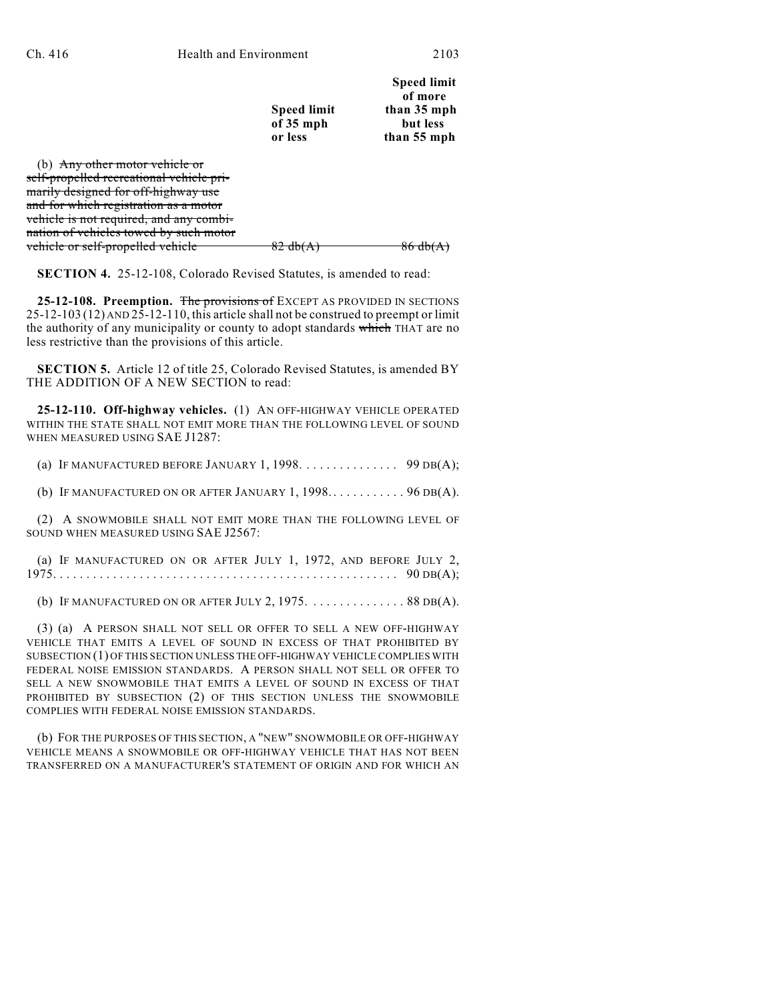|                                                | <b>Speed limit</b><br>of 35 mph<br>or less | <b>Speed limit</b><br>of more<br>than 35 mph<br>but less<br>than 55 mph |
|------------------------------------------------|--------------------------------------------|-------------------------------------------------------------------------|
| <del>ehicle or</del><br>I D<br>Ally Oul        |                                            |                                                                         |
| <del>self-prop</del><br><del>ehiele pri-</del> |                                            |                                                                         |
| <del>Lhinhway nee</del>                        |                                            |                                                                         |

marily designed for off-highway use and for which registration as a motor vehicle is not required, and any combination of vehicles towed by such motor vehicle or self-propelled vehicle  $\begin{array}{c} 82 \text{ db}(A) \end{array}$  86 db(A)

**SECTION 4.** 25-12-108, Colorado Revised Statutes, is amended to read:

**25-12-108. Preemption.** The provisions of EXCEPT AS PROVIDED IN SECTIONS 25-12-103 (12) AND 25-12-110, this article shall not be construed to preempt or limit the authority of any municipality or county to adopt standards which THAT are no less restrictive than the provisions of this article.

**SECTION 5.** Article 12 of title 25, Colorado Revised Statutes, is amended BY THE ADDITION OF A NEW SECTION to read:

**25-12-110. Off-highway vehicles.** (1) AN OFF-HIGHWAY VEHICLE OPERATED WITHIN THE STATE SHALL NOT EMIT MORE THAN THE FOLLOWING LEVEL OF SOUND WHEN MEASURED USING SAE J1287:

(a) IF MANUFACTURED BEFORE JANUARY 1, 1998. . . . . . . . . . . . . . 99 DB(A);

(b) IF MANUFACTURED ON OR AFTER JANUARY  $1, 1998...$   $\dots$   $\dots$  ... 96 DB(A).

(2) A SNOWMOBILE SHALL NOT EMIT MORE THAN THE FOLLOWING LEVEL OF SOUND WHEN MEASURED USING SAE J2567:

(a) IF MANUFACTURED ON OR AFTER JULY 1, 1972, AND BEFORE JULY 2, 1975.... .... .... .... .... .... .... .... .... .... .... .... .... 90 DB(A);

(b) IF MANUFACTURED ON OR AFTER JULY 2,  $1975$ . ............ . 88 DB(A).

(3) (a) A PERSON SHALL NOT SELL OR OFFER TO SELL A NEW OFF-HIGHWAY VEHICLE THAT EMITS A LEVEL OF SOUND IN EXCESS OF THAT PROHIBITED BY SUBSECTION (1) OF THIS SECTION UNLESS THE OFF-HIGHWAY VEHICLE COMPLIES WITH FEDERAL NOISE EMISSION STANDARDS. A PERSON SHALL NOT SELL OR OFFER TO SELL A NEW SNOWMOBILE THAT EMITS A LEVEL OF SOUND IN EXCESS OF THAT PROHIBITED BY SUBSECTION (2) OF THIS SECTION UNLESS THE SNOWMOBILE COMPLIES WITH FEDERAL NOISE EMISSION STANDARDS.

(b) FOR THE PURPOSES OF THIS SECTION, A "NEW" SNOWMOBILE OR OFF-HIGHWAY VEHICLE MEANS A SNOWMOBILE OR OFF-HIGHWAY VEHICLE THAT HAS NOT BEEN TRANSFERRED ON A MANUFACTURER'S STATEMENT OF ORIGIN AND FOR WHICH AN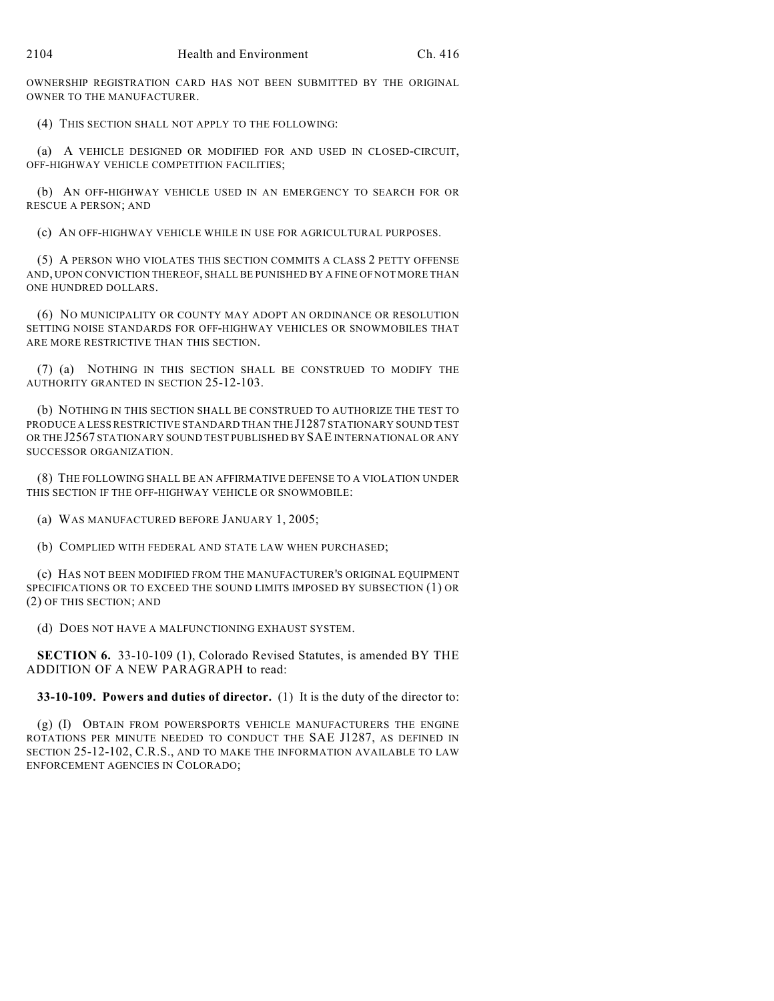OWNERSHIP REGISTRATION CARD HAS NOT BEEN SUBMITTED BY THE ORIGINAL OWNER TO THE MANUFACTURER.

(4) THIS SECTION SHALL NOT APPLY TO THE FOLLOWING:

(a) A VEHICLE DESIGNED OR MODIFIED FOR AND USED IN CLOSED-CIRCUIT, OFF-HIGHWAY VEHICLE COMPETITION FACILITIES;

(b) AN OFF-HIGHWAY VEHICLE USED IN AN EMERGENCY TO SEARCH FOR OR RESCUE A PERSON; AND

(c) AN OFF-HIGHWAY VEHICLE WHILE IN USE FOR AGRICULTURAL PURPOSES.

(5) A PERSON WHO VIOLATES THIS SECTION COMMITS A CLASS 2 PETTY OFFENSE AND, UPON CONVICTION THEREOF, SHALL BE PUNISHED BY A FINE OF NOT MORE THAN ONE HUNDRED DOLLARS.

(6) NO MUNICIPALITY OR COUNTY MAY ADOPT AN ORDINANCE OR RESOLUTION SETTING NOISE STANDARDS FOR OFF-HIGHWAY VEHICLES OR SNOWMOBILES THAT ARE MORE RESTRICTIVE THAN THIS SECTION.

(7) (a) NOTHING IN THIS SECTION SHALL BE CONSTRUED TO MODIFY THE AUTHORITY GRANTED IN SECTION 25-12-103.

(b) NOTHING IN THIS SECTION SHALL BE CONSTRUED TO AUTHORIZE THE TEST TO PRODUCE A LESS RESTRICTIVE STANDARD THAN THE J1287 STATIONARY SOUND TEST OR THE J2567 STATIONARY SOUND TEST PUBLISHED BY SAE INTERNATIONAL OR ANY SUCCESSOR ORGANIZATION.

(8) THE FOLLOWING SHALL BE AN AFFIRMATIVE DEFENSE TO A VIOLATION UNDER THIS SECTION IF THE OFF-HIGHWAY VEHICLE OR SNOWMOBILE:

(a) WAS MANUFACTURED BEFORE JANUARY 1, 2005;

(b) COMPLIED WITH FEDERAL AND STATE LAW WHEN PURCHASED;

(c) HAS NOT BEEN MODIFIED FROM THE MANUFACTURER'S ORIGINAL EQUIPMENT SPECIFICATIONS OR TO EXCEED THE SOUND LIMITS IMPOSED BY SUBSECTION (1) OR (2) OF THIS SECTION; AND

(d) DOES NOT HAVE A MALFUNCTIONING EXHAUST SYSTEM.

**SECTION 6.** 33-10-109 (1), Colorado Revised Statutes, is amended BY THE ADDITION OF A NEW PARAGRAPH to read:

**33-10-109. Powers and duties of director.** (1) It is the duty of the director to:

(g) (I) OBTAIN FROM POWERSPORTS VEHICLE MANUFACTURERS THE ENGINE ROTATIONS PER MINUTE NEEDED TO CONDUCT THE SAE J1287, AS DEFINED IN SECTION 25-12-102, C.R.S., AND TO MAKE THE INFORMATION AVAILABLE TO LAW ENFORCEMENT AGENCIES IN COLORADO;